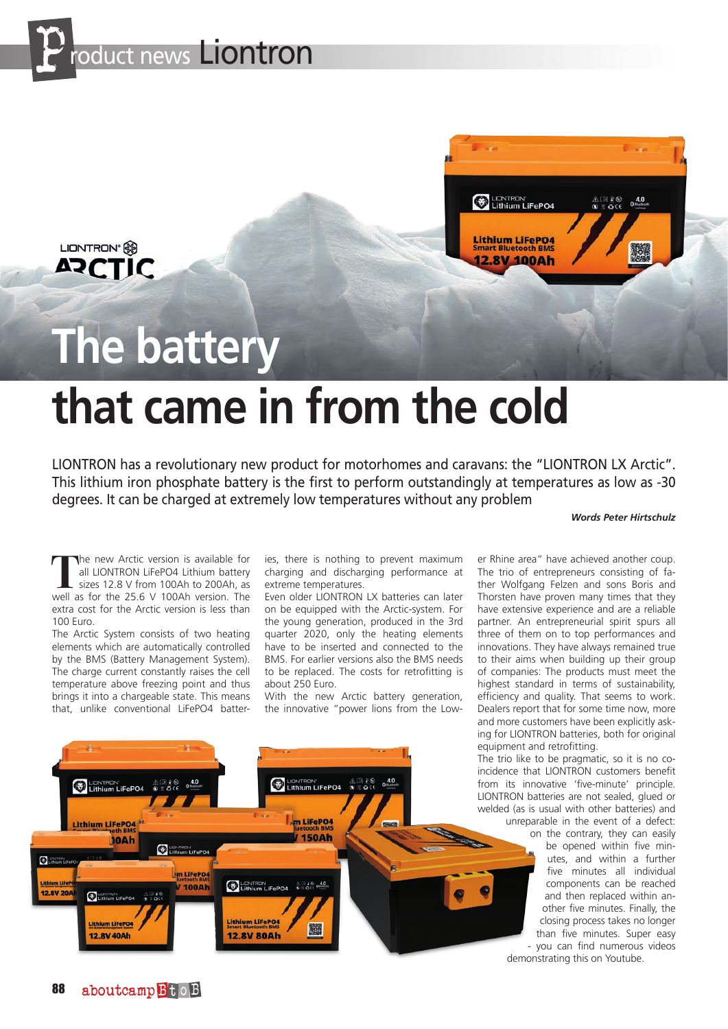

LIONTRON<sup>®</sup>

**ARCTIC** 



## **The battery**

## **that came in from the cold**

LIONTRON has a revolutionary new product for motorhomes and caravans: the "LIONTRON LX Arctic". This lithium iron phosphate battery is the first to perform outstandingly at temperatures as low as -30 degrees. It can be charged at extremely low temperatures without any problem

## *Words Peter Hirtschulz*

The new Arctic version is available for<br>all LIONTRON LiFePO4 Lithium battery<br>sizes 12.8 V from 100Ah to 200Ah, as<br>well as for the 25.6 V 100Ah version. The all LIONTRON LiFePO4 Lithium battery sizes 12.8 V from 100Ah to 200Ah, as well as for the 25.6 V 100Ah version. The extra cost for the Arctic version is less than 100 Euro.

The Arctic System consists of two heating elements which are automatically controlled by the BMS (Battery Management System). The charge current constantly raises the cell temperature above freezing point and thus brings it into a chargeable state. This means that, unlike conventional LiFePO4 batteries, there is nothing to prevent maximum charging and discharging performance at extreme temperatures.

Even older LIONTRON LX batteries can later on be equipped with the Arctic-system. For the young generation, produced in the 3rd quarter 2020, only the heating elements have to be inserted and connected to the BMS. For earlier versions also the BMS needs to be replaced. The costs for retrofitting is about 250 Euro.

With the new Arctic battery generation, the innovative "power lions from the Low-



er Rhine area" have achieved another coup. The trio of entrepreneurs consisting of father Wolfgang Felzen and sons Boris and Thorsten have proven many times that they have extensive experience and are a reliable partner. An entrepreneurial spirit spurs all three of them on to top performances and innovations. They have always remained true to their aims when building up their group of companies: The products must meet the highest standard in terms of sustainability, efficiency and quality. That seems to work. Dealers report that for some time now, more and more customers have been explicitly asking for LIONTRON batteries, both for original equipment and retrofitting.

The trio like to be pragmatic, so it is no coincidence that LIONTRON customers benefit from its innovative 'five-minute' principle. LIONTRON batteries are not sealed, glued or welded (as is usual with other batteries) and unreparable in the event of a defect:

> on the contrary, they can easily be opened within five minutes, and within a further five minutes all individual components can be reached and then replaced within another five minutes. Finally, the closing process takes no longer than five minutes. Super easy - you can find numerous videos

demonstrating this on Youtube.